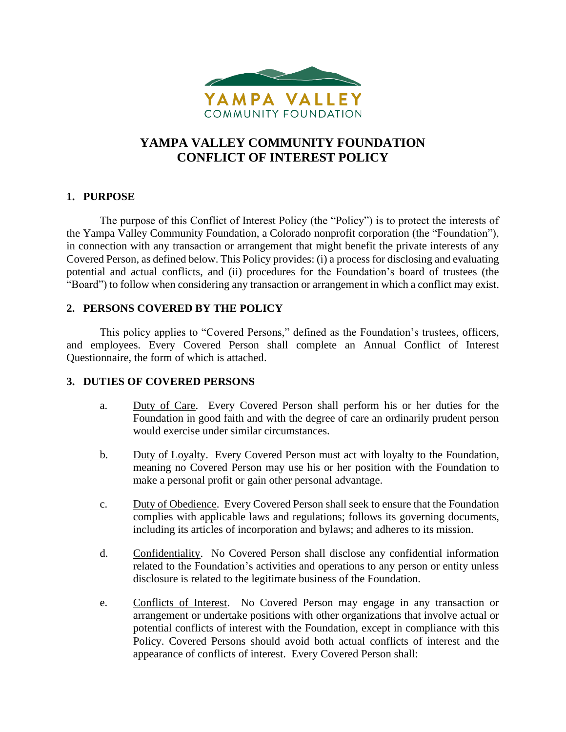

# **YAMPA VALLEY COMMUNITY FOUNDATION CONFLICT OF INTEREST POLICY**

## **1. PURPOSE**

The purpose of this Conflict of Interest Policy (the "Policy") is to protect the interests of the Yampa Valley Community Foundation, a Colorado nonprofit corporation (the "Foundation"), in connection with any transaction or arrangement that might benefit the private interests of any Covered Person, as defined below. This Policy provides: (i) a process for disclosing and evaluating potential and actual conflicts, and (ii) procedures for the Foundation's board of trustees (the "Board") to follow when considering any transaction or arrangement in which a conflict may exist.

## **2. PERSONS COVERED BY THE POLICY**

This policy applies to "Covered Persons," defined as the Foundation's trustees, officers, and employees. Every Covered Person shall complete an Annual Conflict of Interest Questionnaire, the form of which is attached.

## **3. DUTIES OF COVERED PERSONS**

- a. Duty of Care. Every Covered Person shall perform his or her duties for the Foundation in good faith and with the degree of care an ordinarily prudent person would exercise under similar circumstances.
- b. Duty of Loyalty. Every Covered Person must act with loyalty to the Foundation, meaning no Covered Person may use his or her position with the Foundation to make a personal profit or gain other personal advantage.
- c. Duty of Obedience. Every Covered Person shall seek to ensure that the Foundation complies with applicable laws and regulations; follows its governing documents, including its articles of incorporation and bylaws; and adheres to its mission.
- d. Confidentiality. No Covered Person shall disclose any confidential information related to the Foundation's activities and operations to any person or entity unless disclosure is related to the legitimate business of the Foundation.
- e. Conflicts of Interest. No Covered Person may engage in any transaction or arrangement or undertake positions with other organizations that involve actual or potential conflicts of interest with the Foundation, except in compliance with this Policy. Covered Persons should avoid both actual conflicts of interest and the appearance of conflicts of interest. Every Covered Person shall: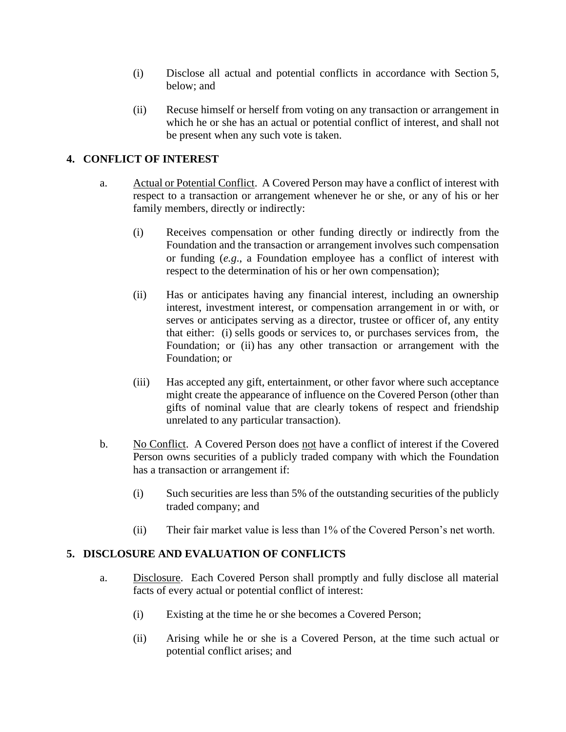- (i) Disclose all actual and potential conflicts in accordance with Section 5, below; and
- (ii) Recuse himself or herself from voting on any transaction or arrangement in which he or she has an actual or potential conflict of interest, and shall not be present when any such vote is taken.

## **4. CONFLICT OF INTEREST**

- a. Actual or Potential Conflict. A Covered Person may have a conflict of interest with respect to a transaction or arrangement whenever he or she, or any of his or her family members, directly or indirectly:
	- (i) Receives compensation or other funding directly or indirectly from the Foundation and the transaction or arrangement involves such compensation or funding (*e.g*., a Foundation employee has a conflict of interest with respect to the determination of his or her own compensation);
	- (ii) Has or anticipates having any financial interest, including an ownership interest, investment interest, or compensation arrangement in or with, or serves or anticipates serving as a director, trustee or officer of, any entity that either: (i) sells goods or services to, or purchases services from, the Foundation; or (ii) has any other transaction or arrangement with the Foundation; or
	- (iii) Has accepted any gift, entertainment, or other favor where such acceptance might create the appearance of influence on the Covered Person (other than gifts of nominal value that are clearly tokens of respect and friendship unrelated to any particular transaction).
- b. No Conflict. A Covered Person does not have a conflict of interest if the Covered Person owns securities of a publicly traded company with which the Foundation has a transaction or arrangement if:
	- (i) Such securities are less than 5% of the outstanding securities of the publicly traded company; and
	- (ii) Their fair market value is less than 1% of the Covered Person's net worth.

## **5. DISCLOSURE AND EVALUATION OF CONFLICTS**

- a. Disclosure. Each Covered Person shall promptly and fully disclose all material facts of every actual or potential conflict of interest:
	- (i) Existing at the time he or she becomes a Covered Person;
	- (ii) Arising while he or she is a Covered Person, at the time such actual or potential conflict arises; and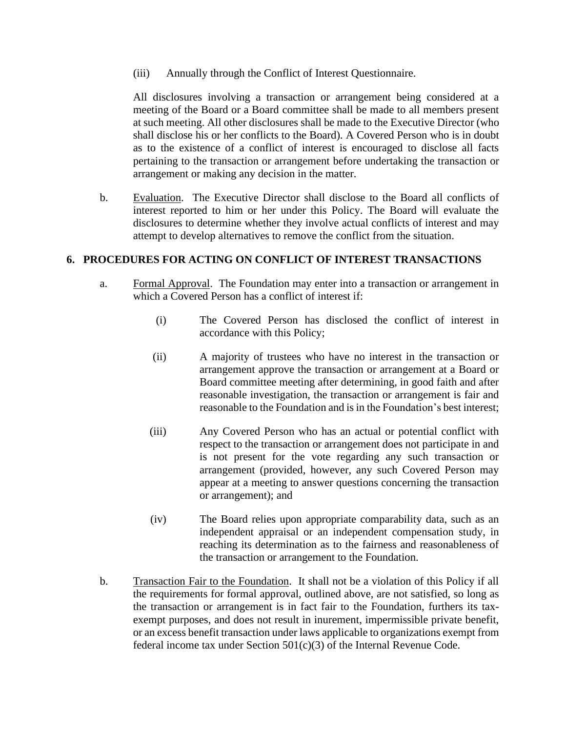(iii) Annually through the Conflict of Interest Questionnaire.

All disclosures involving a transaction or arrangement being considered at a meeting of the Board or a Board committee shall be made to all members present at such meeting. All other disclosures shall be made to the Executive Director (who shall disclose his or her conflicts to the Board). A Covered Person who is in doubt as to the existence of a conflict of interest is encouraged to disclose all facts pertaining to the transaction or arrangement before undertaking the transaction or arrangement or making any decision in the matter.

b. Evaluation. The Executive Director shall disclose to the Board all conflicts of interest reported to him or her under this Policy. The Board will evaluate the disclosures to determine whether they involve actual conflicts of interest and may attempt to develop alternatives to remove the conflict from the situation.

#### **6. PROCEDURES FOR ACTING ON CONFLICT OF INTEREST TRANSACTIONS**

- a. Formal Approval. The Foundation may enter into a transaction or arrangement in which a Covered Person has a conflict of interest if:
	- (i) The Covered Person has disclosed the conflict of interest in accordance with this Policy;
	- (ii) A majority of trustees who have no interest in the transaction or arrangement approve the transaction or arrangement at a Board or Board committee meeting after determining, in good faith and after reasonable investigation, the transaction or arrangement is fair and reasonable to the Foundation and is in the Foundation's best interest;
	- (iii) Any Covered Person who has an actual or potential conflict with respect to the transaction or arrangement does not participate in and is not present for the vote regarding any such transaction or arrangement (provided, however, any such Covered Person may appear at a meeting to answer questions concerning the transaction or arrangement); and
	- (iv) The Board relies upon appropriate comparability data, such as an independent appraisal or an independent compensation study, in reaching its determination as to the fairness and reasonableness of the transaction or arrangement to the Foundation.
- b. Transaction Fair to the Foundation. It shall not be a violation of this Policy if all the requirements for formal approval, outlined above, are not satisfied, so long as the transaction or arrangement is in fact fair to the Foundation, furthers its taxexempt purposes, and does not result in inurement, impermissible private benefit, or an excess benefit transaction under laws applicable to organizations exempt from federal income tax under Section  $501(c)(3)$  of the Internal Revenue Code.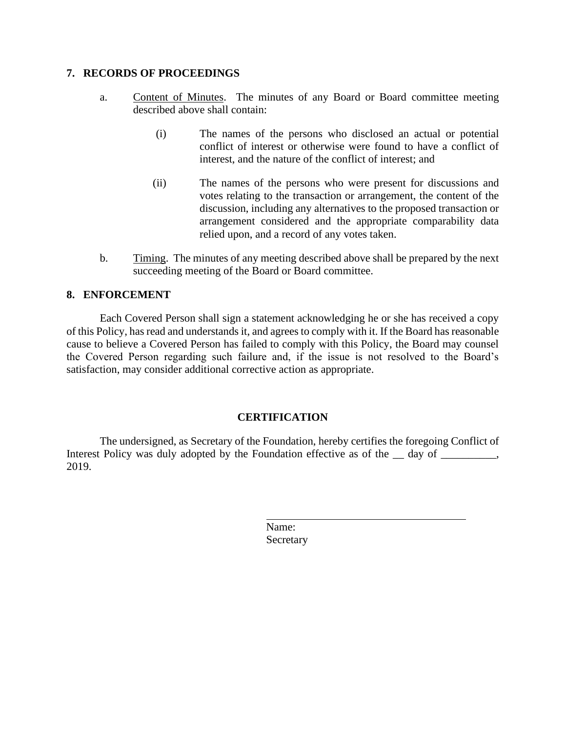#### **7. RECORDS OF PROCEEDINGS**

- a. Content of Minutes. The minutes of any Board or Board committee meeting described above shall contain:
	- (i) The names of the persons who disclosed an actual or potential conflict of interest or otherwise were found to have a conflict of interest, and the nature of the conflict of interest; and
	- (ii) The names of the persons who were present for discussions and votes relating to the transaction or arrangement, the content of the discussion, including any alternatives to the proposed transaction or arrangement considered and the appropriate comparability data relied upon, and a record of any votes taken.
- b. Timing. The minutes of any meeting described above shall be prepared by the next succeeding meeting of the Board or Board committee.

## **8. ENFORCEMENT**

Each Covered Person shall sign a statement acknowledging he or she has received a copy of this Policy, has read and understands it, and agrees to comply with it. If the Board has reasonable cause to believe a Covered Person has failed to comply with this Policy, the Board may counsel the Covered Person regarding such failure and, if the issue is not resolved to the Board's satisfaction, may consider additional corrective action as appropriate.

#### **CERTIFICATION**

The undersigned, as Secretary of the Foundation, hereby certifies the foregoing Conflict of Interest Policy was duly adopted by the Foundation effective as of the  $\_\_$  day of  $\_\_$ 2019.

> Name: **Secretary**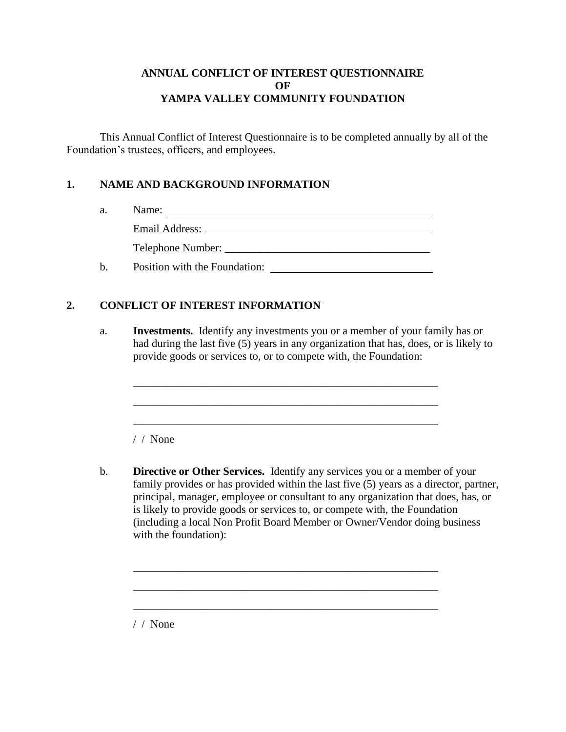#### **ANNUAL CONFLICT OF INTEREST QUESTIONNAIRE OF YAMPA VALLEY COMMUNITY FOUNDATION**

This Annual Conflict of Interest Questionnaire is to be completed annually by all of the Foundation's trustees, officers, and employees.

## **1. NAME AND BACKGROUND INFORMATION**

| a.  | Name:                              |
|-----|------------------------------------|
|     | Email Address:                     |
|     | Telephone Number: ________________ |
| $b$ | Position with the Foundation:      |

## **2. CONFLICT OF INTEREST INFORMATION**

a. **Investments.** Identify any investments you or a member of your family has or had during the last five (5) years in any organization that has, does, or is likely to provide goods or services to, or to compete with, the Foundation:

\_\_\_\_\_\_\_\_\_\_\_\_\_\_\_\_\_\_\_\_\_\_\_\_\_\_\_\_\_\_\_\_\_\_\_\_\_\_\_\_\_\_\_\_\_\_\_\_\_\_\_\_\_\_\_

\_\_\_\_\_\_\_\_\_\_\_\_\_\_\_\_\_\_\_\_\_\_\_\_\_\_\_\_\_\_\_\_\_\_\_\_\_\_\_\_\_\_\_\_\_\_\_\_\_\_\_\_\_\_\_

/ / None

b. **Directive or Other Services.** Identify any services you or a member of your family provides or has provided within the last five (5) years as a director, partner, principal, manager, employee or consultant to any organization that does, has, or is likely to provide goods or services to, or compete with, the Foundation (including a local Non Profit Board Member or Owner/Vendor doing business with the foundation):

\_\_\_\_\_\_\_\_\_\_\_\_\_\_\_\_\_\_\_\_\_\_\_\_\_\_\_\_\_\_\_\_\_\_\_\_\_\_\_\_\_\_\_\_\_\_\_\_\_\_\_\_\_\_\_

\_\_\_\_\_\_\_\_\_\_\_\_\_\_\_\_\_\_\_\_\_\_\_\_\_\_\_\_\_\_\_\_\_\_\_\_\_\_\_\_\_\_\_\_\_\_\_\_\_\_\_\_\_\_\_

/ / None